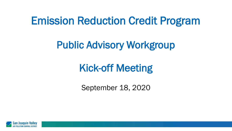### Emission Reduction Credit Program

### Public Advisory Workgroup

# Kick-off Meeting

September 18, 2020

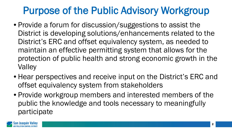## Purpose of the Public Advisory Workgroup

- Provide a forum for discussion/suggestions to assist the District is developing solutions/enhancements related to the District's ERC and offset equivalency system, as needed to maintain an effective permitting system that allows for the protection of public health and strong economic growth in the **Valley**
- Hear perspectives and receive input on the District's ERC and offset equivalency system from stakeholders
- Provide workgroup members and interested members of the public the knowledge and tools necessary to meaningfully participate

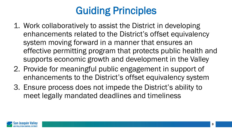# Guiding Principles

- 1. Work collaboratively to assist the District in developing enhancements related to the District's offset equivalency system moving forward in a manner that ensures an effective permitting program that protects public health and supports economic growth and development in the Valley
- 2. Provide for meaningful public engagement in support of enhancements to the District's offset equivalency system
- 3. Ensure process does not impede the District's ability to meet legally mandated deadlines and timeliness

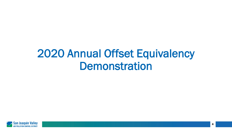# 2020 Annual Offset Equivalency **Demonstration**

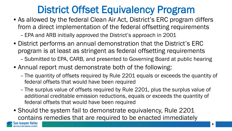### District Offset Equivalency Program

- As allowed by the federal Clean Air Act, District's ERC program differs from a direct implementation of the federal offsetting requirements – EPA and ARB initially approved the District's approach in 2001
- District performs an annual demonstration that the District's ERC program is at least as stringent as federal offsetting requirements
	- Submitted to EPA, CARB, and presented to Governing Board at public hearing
- Annual report must demonstrate both of the following:
	- The quantity of offsets required by Rule 2201 equals or exceeds the quantity of federal offsets that would have been required
	- The surplus value of offsets required by Rule 2201, plus the surplus value of additional creditable emission reductions, equals or exceeds the quantity of federal offsets that would have been required
- Should the system fail to demonstrate equivalency, Rule 2201 contains remedies that are required to be enacted immediately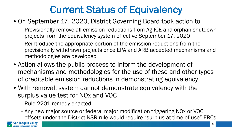## Current Status of Equivalency

- On September 17, 2020, District Governing Board took action to:
	- Provisionally remove all emission reductions from Ag-ICE and orphan shutdown projects from the equivalency system effective September 17, 2020
	- Reintroduce the appropriate portion of the emission reductions from the provisionally withdrawn projects once EPA and ARB accepted mechanisms and methodologies are developed
- Action allows the public process to inform the development of mechanisms and methodologies for the use of these and other types of creditable emission reductions in demonstrating equivalency
- With removal, system cannot demonstrate equivalency with the surplus value test for NOx and VOC
	- Rule 2201 remedy enacted
	- Any new major source or federal major modification triggering NOx or VOC offsets under the District NSR rule would require "surplus at time of use" ERCs

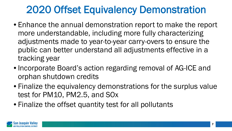### 2020 Offset Equivalency Demonstration

- Enhance the annual demonstration report to make the report more understandable, including more fully characterizing adjustments made to year-to-year carry-overs to ensure the public can better understand all adjustments effective in a tracking year
- Incorporate Board's action regarding removal of AG-ICE and orphan shutdown credits
- Finalize the equivalency demonstrations for the surplus value test for PM10, PM2.5, and SOx
- Finalize the offset quantity test for all pollutants

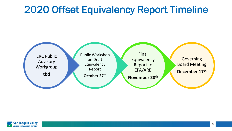### 2020 Offset Equivalency Report Timeline



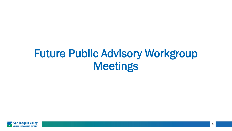# Future Public Advisory Workgroup Meetings